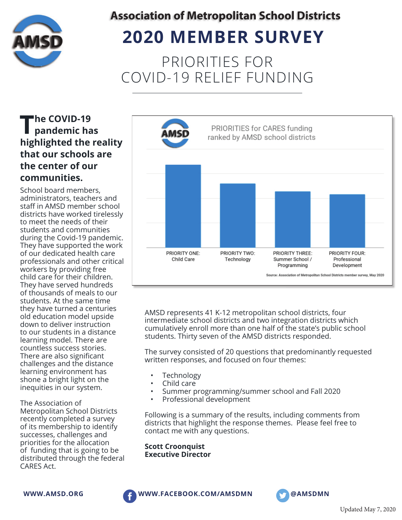

# **2020 MEMBER SURVEY**

PRIORITIES FOR COVID-19 RELIEF FUNDING

## **The COVID-19 pandemic has highlighted the reality that our schools are the center of our communities.**

School board members, administrators, teachers and staff in AMSD member school districts have worked tirelessly to meet the needs of their students and communities during the Covid-19 pandemic. They have supported the work of our dedicated health care professionals and other critical workers by providing free child care for their children. They have served hundreds of thousands of meals to our students. At the same time they have turned a centuries old education model upside down to deliver instruction to our students in a distance learning model. There are countless success stories. There are also significant challenges and the distance learning environment has shone a bright light on the inequities in our system.

The Association of Metropolitan School Districts recently completed a survey of its membership to identify successes, challenges and priorities for the allocation of funding that is going to be distributed through the federal CARES Act.



AMSD represents 41 K-12 metropolitan school districts, four intermediate school districts and two integration districts which cumulatively enroll more than one half of the state's public school students. Thirty seven of the AMSD districts responded.

The survey consisted of 20 questions that predominantly requested written responses, and focused on four themes:

- **Technology**
- Child care
- Summer programming/summer school and Fall 2020
- Professional development

Following is a summary of the results, including comments from districts that highlight the response themes. Please feel free to contact me with any questions.

**Scott Croonquist Executive Director**





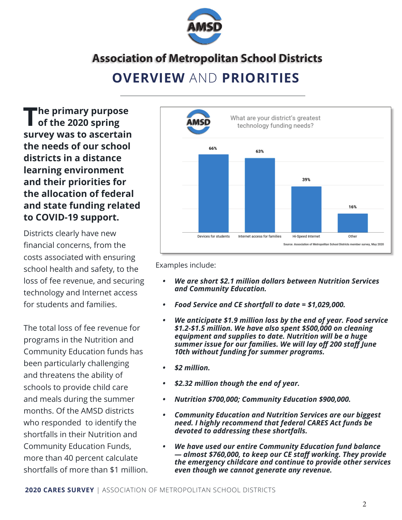

## **OVERVIEW** AND **PRIORITIES**

**The primary purpose**<br> **of the 2020 spring survey was to ascertain the needs of our school districts in a distance learning environment and their priorities for the allocation of federal and state funding related to COVID-19 support.**

Districts clearly have new financial concerns, from the costs associated with ensuring school health and safety, to the loss of fee revenue, and securing technology and Internet access for students and families.

The total loss of fee revenue for programs in the Nutrition and Community Education funds has been particularly challenging and threatens the ability of schools to provide child care and meals during the summer months. Of the AMSD districts who responded to identify the shortfalls in their Nutrition and Community Education Funds, more than 40 percent calculate shortfalls of more than \$1 million.



Examples include:

- *We are short \$2.1 million dollars between Nutrition Services and Community Education.*
- *Food Service and CE shortfall to date = \$1,029,000.*
- *We anticipate \$1.9 million loss by the end of year. Food service \$1.2-\$1.5 million. We have also spent \$500,000 on cleaning equipment and supplies to date. Nutrition will be a huge summer issue for our families. We will lay off 200 staff June 10th without funding for summer programs.*
- *\$2 million.*
- *\$2.32 million though the end of year.*
- *Nutrition \$700,000; Community Education \$900,000.*
- *Community Education and Nutrition Services are our biggest need. I highly recommend that federal CARES Act funds be devoted to addressing these shortfalls.*
- *We have used our entire Community Education fund balance — almost \$760,000, to keep our CE staff working. They provide the emergency childcare and continue to provide other services even though we cannot generate any revenue.*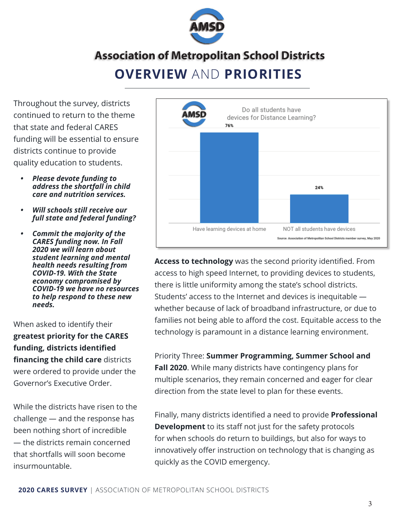

## **OVERVIEW** AND **PRIORITIES Association of Metropolitan School Districts**

Throughout the survey, districts continued to return to the theme that state and federal CARES funding will be essential to ensure districts continue to provide quality education to students.

- *Please devote funding to address the shortfall in child care and nutrition services.*
- *Will schools still receive our full state and federal funding?*
- *Commit the majority of the CARES funding now. In Fall 2020 we will learn about student learning and mental health needs resulting from COVID-19. With the State economy compromised by COVID-19 we have no resources to help respond to these new needs.*

When asked to identify their **greatest priority for the CARES**  funding, districts identified **financing the child care** districts were ordered to provide under the Governor's Executive Order.

While the districts have risen to the challenge — and the response has been nothing short of incredible — the districts remain concerned that shortfalls will soon become insurmountable.



**Access to technology** was the second priority identified. From access to high speed Internet, to providing devices to students, there is little uniformity among the state's school districts. Students' access to the Internet and devices is inequitable whether because of lack of broadband infrastructure, or due to families not being able to afford the cost. Equitable access to the technology is paramount in a distance learning environment.

Priority Three: **Summer Programming, Summer School and Fall 2020**. While many districts have contingency plans for multiple scenarios, they remain concerned and eager for clear direction from the state level to plan for these events.

Finally, many districts identified a need to provide **Professional Development** to its staff not just for the safety protocols for when schools do return to buildings, but also for ways to innovatively offer instruction on technology that is changing as quickly as the COVID emergency.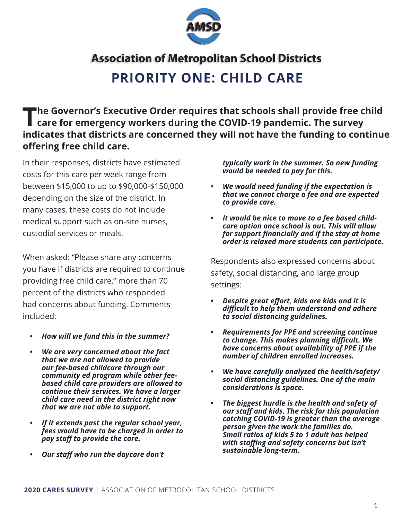

## **PRIORITY ONE: CHILD CARE**

## The Governor's Executive Order requires that schools shall provide free child<br>
care for emergency workers during the COVID-19 pandemic. The survey **indicates that districts are concerned they will not have the funding to continue offering free child care.**

In their responses, districts have estimated costs for this care per week range from between \$15,000 to up to \$90,000-\$150,000 depending on the size of the district. In many cases, these costs do not include medical support such as on-site nurses, custodial services or meals.

When asked: "Please share any concerns you have if districts are required to continue providing free child care," more than 70 percent of the districts who responded had concerns about funding. Comments included:

- *How will we fund this in the summer?*
- *We are very concerned about the fact that we are not allowed to provide our fee-based childcare through our community ed program while other feebased child care providers are allowed to continue their services. We have a larger child care need in the district right now that we are not able to support.*
- *If it extends past the regular school year, fees would have to be charged in order to pay staff to provide the care.*
- *Our staff who run the daycare don't*

*typically work in the summer. So new funding would be needed to pay for this.*

- *We would need funding if the expectation is that we cannot charge a fee and are expected to provide care.*
- *It would be nice to move to a fee based childcare option once school is out. This will allow*  for support financially and if the stay at home *order is relaxed more students can participate.*

Respondents also expressed concerns about safety, social distancing, and large group settings:

- *Despite great effort, kids are kids and it is diffi cult to help them understand and adhere to social distancing guidelines.*
- *Requirements for PPE and screening continue to change. This makes planning diffi cult. We have concerns about availability of PPE if the number of children enrolled increases.*
- *We have carefully analyzed the health/safety/ social distancing guidelines. One of the main considerations is space.*
- *The biggest hurdle is the health and safety of our staff and kids. The risk for this population catching COVID-19 is greater than the average person given the work the families do. Small ratios of kids 5 to 1 adult has helped*  with staffing and safety concerns but isn't *sustainable long-term.*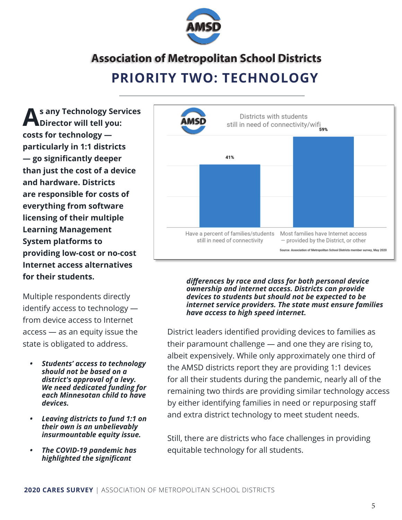

### **PRIORITY TWO: TECHNOLOGY**

**As any Technology Services Director will tell you: costs for technology particularly in 1:1 districts — go signifi cantly deeper than just the cost of a device and hardware. Districts are responsible for costs of everything from software licensing of their multiple Learning Management System platforms to providing low-cost or no-cost Internet access alternatives for their students.**

Multiple respondents directly identify access to technology from device access to Internet access — as an equity issue the state is obligated to address.

- *Students' access to technology should not be based on a district's approval of a levy. We need dedicated funding for each Minnesotan child to have devices.*
- *Leaving districts to fund 1:1 on their own is an unbelievably insurmountable equity issue.*
- *The COVID-19 pandemic has*  **highlighted the significant**



*diff erences by race and class for both personal device ownership and internet access. Districts can provide devices to students but should not be expected to be internet service providers. The state must ensure families have access to high speed internet.*

District leaders identified providing devices to families as their paramount challenge — and one they are rising to, albeit expensively. While only approximately one third of the AMSD districts report they are providing 1:1 devices for all their students during the pandemic, nearly all of the remaining two thirds are providing similar technology access by either identifying families in need or repurposing staff and extra district technology to meet student needs.

Still, there are districts who face challenges in providing equitable technology for all students.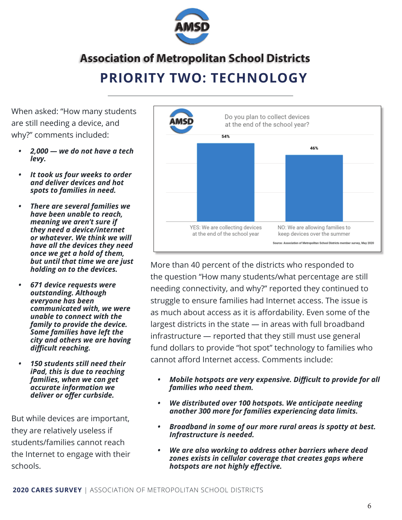

### **PRIORITY TWO: TECHNOLOGY**

When asked: "How many students are still needing a device, and why?" comments included:

- *2,000 we do not have a tech levy.*
- *It took us four weeks to order and deliver devices and hot spots to families in need.*
- *There are several families we have been unable to reach, meaning we aren't sure if they need a device/internet or whatever. We think we will have all the devices they need once we get a hold of them, but until that time we are just holding on to the devices.*
- *671 device requests were outstanding. Although everyone has been communicated with, we were unable to connect with the family to provide the device. Some families have left the city and others we are having diffi cult reaching.*
- *150 students still need their iPad, this is due to reaching families, when we can get accurate information we*  deliver or offer curbside.

But while devices are important, they are relatively useless if students/families cannot reach the Internet to engage with their schools.



More than 40 percent of the districts who responded to the question "How many students/what percentage are still needing connectivity, and why?" reported they continued to struggle to ensure families had Internet access. The issue is as much about access as it is affordability. Even some of the largest districts in the state — in areas with full broadband infrastructure — reported that they still must use general fund dollars to provide "hot spot" technology to families who cannot afford Internet access. Comments include:

- *Mobile hotspots are very expensive. Difficult to provide for all families who need them.*
- *We distributed over 100 hotspots. We anticipate needing another 300 more for families experiencing data limits.*
- *Broadband in some of our more rural areas is spotty at best. Infrastructure is needed.*
- *We are also working to address other barriers where dead zones exists in cellular coverage that creates gaps where hotspots are not highly eff ective.*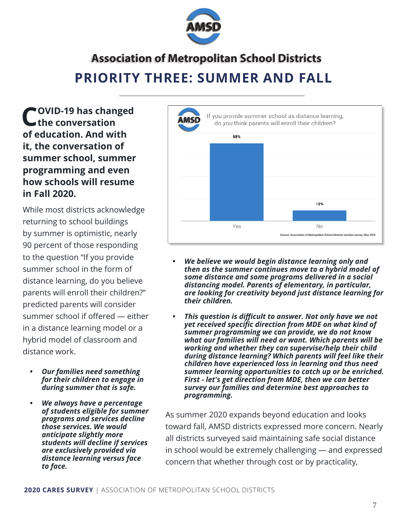

## **PRIORITY THREE: SUMMER AND FALL Association of Metropolitan School Districts**

**COVID-19 has changed the conversation of education. And with it, the conversation of summer school, summer programming and even how schools will resume in Fall 2020.**

While most districts acknowledge returning to school buildings by summer is optimistic, nearly 90 percent of those responding to the question "If you provide summer school in the form of distance learning, do you believe parents will enroll their children?" predicted parents will consider summer school if offered — either in a distance learning model or a hybrid model of classroom and distance work.

- *Our families need something for their children to engage in during summer that is safe.*
- *We always have a percentage of students eligible for summer programs and services decline those services. We would anticipate slightly more students will decline if services are exclusively provided via distance learning versus face to face.*



- *We believe we would begin distance learning only and then as the summer continues move to a hybrid model of some distance and some programs delivered in a social distancing model. Parents of elementary, in particular, are looking for creativity beyond just distance learning for their children.*
- *This question is difficult to answer. Not only have we not yet received specific direction from MDE on what kind of summer programming we can provide, we do not know what our families will need or want. Which parents will be working and whether they can supervise/help their child during distance learning? Which parents will feel like their children have experienced loss in learning and thus need summer learning opportunities to catch up or be enriched. First - let's get direction from MDE, then we can better survey our families and determine best approaches to programming.*

As summer 2020 expands beyond education and looks toward fall, AMSD districts expressed more concern. Nearly all districts surveyed said maintaining safe social distance in school would be extremely challenging — and expressed concern that whether through cost or by practicality,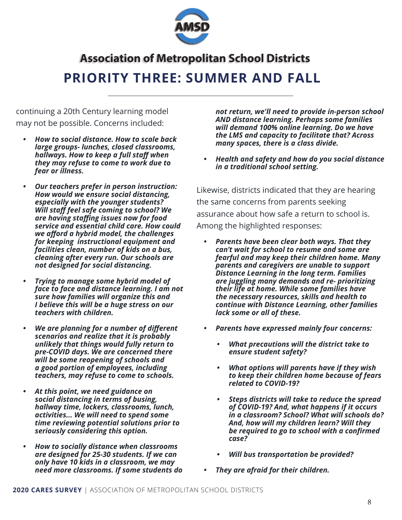![](_page_7_Picture_0.jpeg)

## **PRIORITY THREE: SUMMER AND FALL**

continuing a 20th Century learning model may not be possible. Concerns included:

- *How to social distance. How to scale back large groups- lunches, closed classrooms, hallways. How to keep a full staff when they may refuse to come to work due to fear or illness.*
- *Our teachers prefer in person instruction: How would we ensure social distancing, especially with the younger students? Will staff feel safe coming to school? We are having staffi ng issues now for food service and essential child care. How could we aff ord a hybrid model, the challenges for keeping instructional equipment and facilities clean, number of kids on a bus, cleaning after every run. Our schools are not designed for social distancing.*
- *Trying to manage some hybrid model of face to face and distance learning. I am not sure how families will organize this and I believe this will be a huge stress on our teachers with children.*
- *We are planning for a number of different scenarios and realize that it is probably unlikely that things would fully return to pre-COVID days. We are concerned there will be some reopening of schools and a good portion of employees, including teachers, may refuse to come to schools.*
- *At this point, we need guidance on social distancing in terms of busing, hallway time, lockers, classrooms, lunch, activities... We will need to spend some time reviewing potential solutions prior to seriously considering this option.*
- *How to socially distance when classrooms are designed for 25-30 students. If we can only have 10 kids in a classroom, we may need more classrooms. If some students do*

*not return, we'll need to provide in-person school AND distance learning. Perhaps some families will demand 100% online learning. Do we have the LMS and capacity to facilitate that? Across many spaces, there is a class divide.*

*• Health and safety and how do you social distance in a traditional school setting.*

Likewise, districts indicated that they are hearing the same concerns from parents seeking assurance about how safe a return to school is. Among the highlighted responses:

- *Parents have been clear both ways. That they can't wait for school to resume and some are fearful and may keep their children home. Many parents and caregivers are unable to support Distance Learning in the long term. Families are juggling many demands and re- prioritizing their life at home. While some families have the necessary resources, skills and health to continue with Distance Learning, other families lack some or all of these.*
- *Parents have expressed mainly four concerns:*
	- *What precautions will the district take to ensure student safety?*
	- *What options will parents have if they wish to keep their children home because of fears related to COVID-19?*
	- *Steps districts will take to reduce the spread of COVID-19? And, what happens if it occurs in a classroom? School? What will schools do? And, how will my children learn? Will they be required to go to school with a confirmed case?*
	- *Will bus transportation be provided?*
- *They are afraid for their children.*